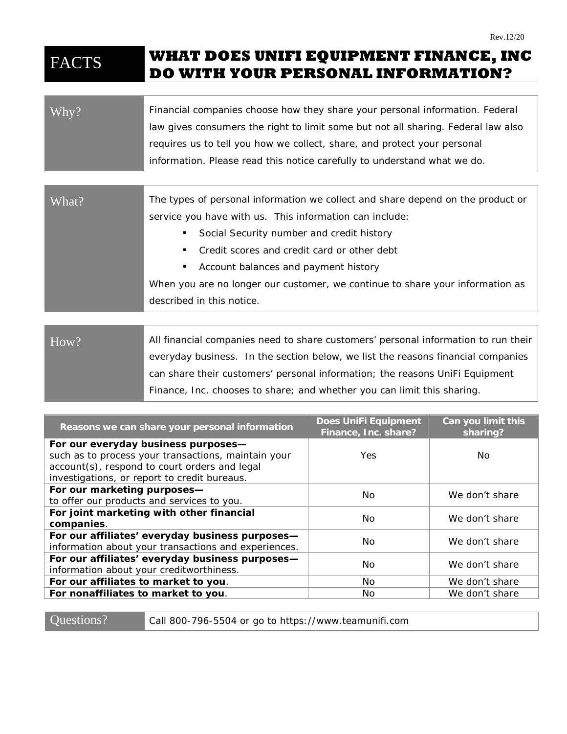## FACTS **WHAT DOES UNIFI EQUIPMENT FINANCE, INC DO WITH YOUR PERSONAL INFORMATION?**

| Why? | Financial companies choose how they share your personal information. Federal      |
|------|-----------------------------------------------------------------------------------|
|      | law gives consumers the right to limit some but not all sharing. Federal law also |
|      | requires us to tell you how we collect, share, and protect your personal          |
|      | information. Please read this notice carefully to understand what we do.          |

| What? | The types of personal information we collect and share depend on the product or<br>service you have with us. This information can include: |  |
|-------|--------------------------------------------------------------------------------------------------------------------------------------------|--|
|       | • Social Security number and credit history                                                                                                |  |
|       | Credit scores and credit card or other debt<br>$\blacksquare$                                                                              |  |
|       | Account balances and payment history<br>$\blacksquare$                                                                                     |  |
|       | When you are no longer our customer, we continue to share your information as                                                              |  |
|       | described in this notice.                                                                                                                  |  |

| How? | All financial companies need to share customers' personal information to run their |
|------|------------------------------------------------------------------------------------|
|      | everyday business. In the section below, we list the reasons financial companies   |
|      | can share their customers' personal information; the reasons UniFi Equipment       |
|      | Finance, Inc. chooses to share; and whether you can limit this sharing.            |

| Reasons we can share your personal information       | <b>Does UniFi Equipment</b><br>Finance, Inc. share? | Can you limit this<br>sharing? |
|------------------------------------------------------|-----------------------------------------------------|--------------------------------|
| For our everyday business purposes-                  |                                                     |                                |
| such as to process your transactions, maintain your  | Yes                                                 | No.                            |
| account(s), respond to court orders and legal        |                                                     |                                |
| investigations, or report to credit bureaus.         |                                                     |                                |
| For our marketing purposes-                          | No.                                                 | We don't share                 |
| to offer our products and services to you.           |                                                     |                                |
| For joint marketing with other financial             | No.                                                 | We don't share                 |
| companies.                                           |                                                     |                                |
| For our affiliates' everyday business purposes-      | No.                                                 | We don't share                 |
| information about your transactions and experiences. |                                                     |                                |
| For our affiliates' everyday business purposes-      | Nο                                                  | We don't share                 |
| information about your creditworthiness.             |                                                     |                                |
| For our affiliates to market to you.                 | No.                                                 | We don't share                 |
| For nonaffiliates to market to you.                  | No                                                  | We don't share                 |

Questions? Call 800-796-5504 or go to https://www.teamunifi.com